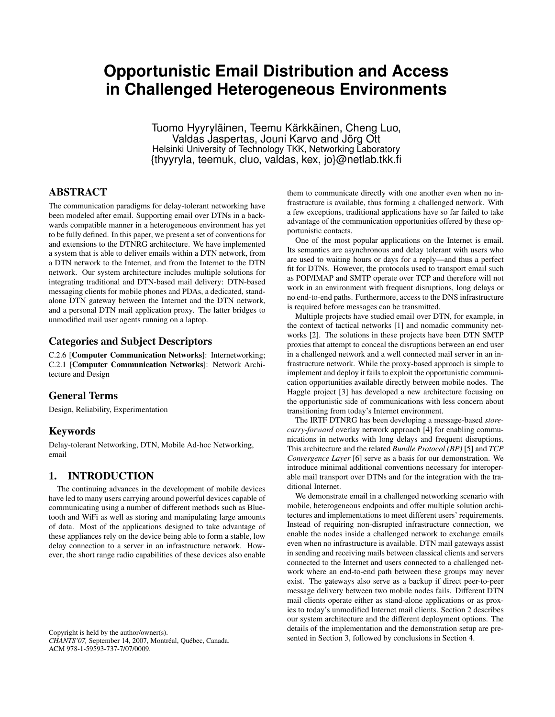# **Opportunistic Email Distribution and Access in Challenged Heterogeneous Environments**

Tuomo Hyyryläinen, Teemu Kärkkäinen, Cheng Luo, Valdas Jaspertas, Jouni Karvo and Jörg Ott Helsinki University of Technology TKK, Networking Laboratory {thyyryla, teemuk, cluo, valdas, kex, jo}@netlab.tkk.fi

# ABSTRACT

The communication paradigms for delay-tolerant networking have been modeled after email. Supporting email over DTNs in a backwards compatible manner in a heterogeneous environment has yet to be fully defined. In this paper, we present a set of conventions for and extensions to the DTNRG architecture. We have implemented a system that is able to deliver emails within a DTN network, from a DTN network to the Internet, and from the Internet to the DTN network. Our system architecture includes multiple solutions for integrating traditional and DTN-based mail delivery: DTN-based messaging clients for mobile phones and PDAs, a dedicated, standalone DTN gateway between the Internet and the DTN network, and a personal DTN mail application proxy. The latter bridges to unmodified mail user agents running on a laptop.

#### Categories and Subject Descriptors

C.2.6 [Computer Communication Networks]: Internetworking; C.2.1 [Computer Communication Networks]: Network Architecture and Design

## General Terms

Design, Reliability, Experimentation

# Keywords

Delay-tolerant Networking, DTN, Mobile Ad-hoc Networking, email

## 1. INTRODUCTION

The continuing advances in the development of mobile devices have led to many users carrying around powerful devices capable of communicating using a number of different methods such as Bluetooth and WiFi as well as storing and manipulating large amounts of data. Most of the applications designed to take advantage of these appliances rely on the device being able to form a stable, low delay connection to a server in an infrastructure network. However, the short range radio capabilities of these devices also enable

Copyright is held by the author/owner(s). *CHANTS'07,* September 14, 2007, Montréal, Québec, Canada. ACM 978-1-59593-737-7/07/0009.

them to communicate directly with one another even when no infrastructure is available, thus forming a challenged network. With a few exceptions, traditional applications have so far failed to take advantage of the communication opportunities offered by these opportunistic contacts.

One of the most popular applications on the Internet is email. Its semantics are asynchronous and delay tolerant with users who are used to waiting hours or days for a reply—and thus a perfect fit for DTNs. However, the protocols used to transport email such as POP/IMAP and SMTP operate over TCP and therefore will not work in an environment with frequent disruptions, long delays or no end-to-end paths. Furthermore, access to the DNS infrastructure is required before messages can be transmitted.

Multiple projects have studied email over DTN, for example, in the context of tactical networks [1] and nomadic community networks [2]. The solutions in these projects have been DTN SMTP proxies that attempt to conceal the disruptions between an end user in a challenged network and a well connected mail server in an infrastructure network. While the proxy-based approach is simple to implement and deploy it fails to exploit the opportunistic communication opportunities available directly between mobile nodes. The Haggle project [3] has developed a new architecture focusing on the opportunistic side of communications with less concern about transitioning from today's Internet environment.

The IRTF DTNRG has been developing a message-based *storecarry-forward* overlay network approach [4] for enabling communications in networks with long delays and frequent disruptions. This architecture and the related *Bundle Protocol (BP)* [5] and *TCP Convergence Layer* [6] serve as a basis for our demonstration. We introduce minimal additional conventions necessary for interoperable mail transport over DTNs and for the integration with the traditional Internet.

We demonstrate email in a challenged networking scenario with mobile, heterogeneous endpoints and offer multiple solution architectures and implementations to meet different users' requirements. Instead of requiring non-disrupted infrastructure connection, we enable the nodes inside a challenged network to exchange emails even when no infrastructure is available. DTN mail gateways assist in sending and receiving mails between classical clients and servers connected to the Internet and users connected to a challenged network where an end-to-end path between these groups may never exist. The gateways also serve as a backup if direct peer-to-peer message delivery between two mobile nodes fails. Different DTN mail clients operate either as stand-alone applications or as proxies to today's unmodified Internet mail clients. Section 2 describes our system architecture and the different deployment options. The details of the implementation and the demonstration setup are presented in Section 3, followed by conclusions in Section 4.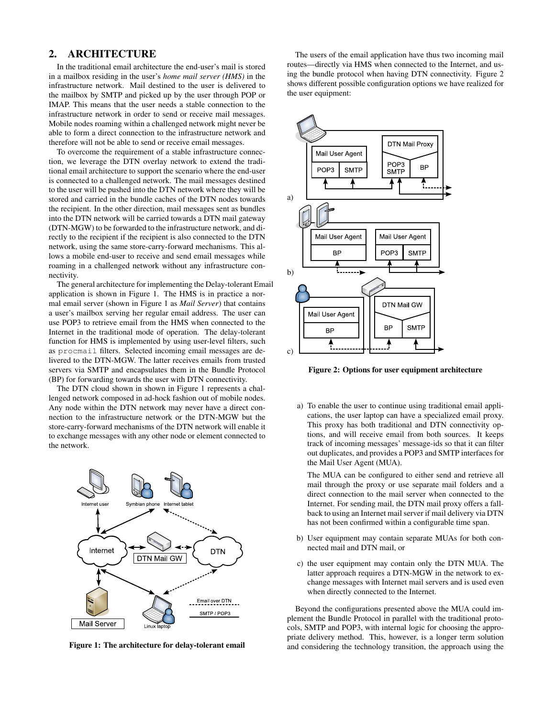## 2. ARCHITECTURE

In the traditional email architecture the end-user's mail is stored in a mailbox residing in the user's *home mail server (HMS)* in the infrastructure network. Mail destined to the user is delivered to the mailbox by SMTP and picked up by the user through POP or IMAP. This means that the user needs a stable connection to the infrastructure network in order to send or receive mail messages. Mobile nodes roaming within a challenged network might never be able to form a direct connection to the infrastructure network and therefore will not be able to send or receive email messages.

To overcome the requirement of a stable infrastructure connection, we leverage the DTN overlay network to extend the traditional email architecture to support the scenario where the end-user is connected to a challenged network. The mail messages destined to the user will be pushed into the DTN network where they will be stored and carried in the bundle caches of the DTN nodes towards the recipient. In the other direction, mail messages sent as bundles into the DTN network will be carried towards a DTN mail gateway (DTN-MGW) to be forwarded to the infrastructure network, and directly to the recipient if the recipient is also connected to the DTN network, using the same store-carry-forward mechanisms. This allows a mobile end-user to receive and send email messages while roaming in a challenged network without any infrastructure connectivity.

The general architecture for implementing the Delay-tolerant Email application is shown in Figure 1. The HMS is in practice a normal email server (shown in Figure 1 as *Mail Server*) that contains a user's mailbox serving her regular email address. The user can use POP3 to retrieve email from the HMS when connected to the Internet in the traditional mode of operation. The delay-tolerant function for HMS is implemented by using user-level filters, such as procmail filters. Selected incoming email messages are delivered to the DTN-MGW. The latter receives emails from trusted servers via SMTP and encapsulates them in the Bundle Protocol (BP) for forwarding towards the user with DTN connectivity.

The DTN cloud shown in shown in Figure 1 represents a challenged network composed in ad-hock fashion out of mobile nodes. Any node within the DTN network may never have a direct connection to the infrastructure network or the DTN-MGW but the store-carry-forward mechanisms of the DTN network will enable it to exchange messages with any other node or element connected to the network.



Figure 1: The architecture for delay-tolerant email

The users of the email application have thus two incoming mail routes—directly via HMS when connected to the Internet, and using the bundle protocol when having DTN connectivity. Figure 2 shows different possible configuration options we have realized for the user equipment:



Figure 2: Options for user equipment architecture

a) To enable the user to continue using traditional email applications, the user laptop can have a specialized email proxy. This proxy has both traditional and DTN connectivity options, and will receive email from both sources. It keeps track of incoming messages' message-ids so that it can filter out duplicates, and provides a POP3 and SMTP interfaces for the Mail User Agent (MUA).

The MUA can be configured to either send and retrieve all mail through the proxy or use separate mail folders and a direct connection to the mail server when connected to the Internet. For sending mail, the DTN mail proxy offers a fallback to using an Internet mail server if mail delivery via DTN has not been confirmed within a configurable time span.

- b) User equipment may contain separate MUAs for both connected mail and DTN mail, or
- c) the user equipment may contain only the DTN MUA. The latter approach requires a DTN-MGW in the network to exchange messages with Internet mail servers and is used even when directly connected to the Internet.

Beyond the configurations presented above the MUA could implement the Bundle Protocol in parallel with the traditional protocols, SMTP and POP3, with internal logic for choosing the appropriate delivery method. This, however, is a longer term solution and considering the technology transition, the approach using the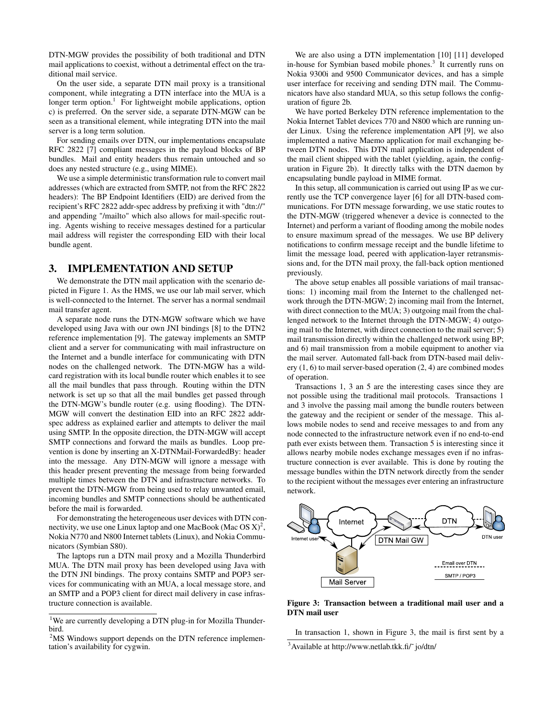DTN-MGW provides the possibility of both traditional and DTN mail applications to coexist, without a detrimental effect on the traditional mail service.

On the user side, a separate DTN mail proxy is a transitional component, while integrating a DTN interface into the MUA is a longer term option.<sup>1</sup> For lightweight mobile applications, option c) is preferred. On the server side, a separate DTN-MGW can be seen as a transitional element, while integrating DTN into the mail server is a long term solution.

For sending emails over DTN, our implementations encapsulate RFC 2822 [7] compliant messages in the payload blocks of BP bundles. Mail and entity headers thus remain untouched and so does any nested structure (e.g., using MIME).

We use a simple deterministic transformation rule to convert mail addresses (which are extracted from SMTP, not from the RFC 2822 headers): The BP Endpoint Identifiers (EID) are derived from the recipient's RFC 2822 addr-spec address by prefixing it with "dtn://" and appending "/mailto" which also allows for mail-specific routing. Agents wishing to receive messages destined for a particular mail address will register the corresponding EID with their local bundle agent.

## 3. IMPLEMENTATION AND SETUP

We demonstrate the DTN mail application with the scenario depicted in Figure 1. As the HMS, we use our lab mail server, which is well-connected to the Internet. The server has a normal sendmail mail transfer agent.

A separate node runs the DTN-MGW software which we have developed using Java with our own JNI bindings [8] to the DTN2 reference implementation [9]. The gateway implements an SMTP client and a server for communicating with mail infrastructure on the Internet and a bundle interface for communicating with DTN nodes on the challenged network. The DTN-MGW has a wildcard registration with its local bundle router which enables it to see all the mail bundles that pass through. Routing within the DTN network is set up so that all the mail bundles get passed through the DTN-MGW's bundle router (e.g. using flooding). The DTN-MGW will convert the destination EID into an RFC 2822 addrspec address as explained earlier and attempts to deliver the mail using SMTP. In the opposite direction, the DTN-MGW will accept SMTP connections and forward the mails as bundles. Loop prevention is done by inserting an X-DTNMail-ForwardedBy: header into the message. Any DTN-MGW will ignore a message with this header present preventing the message from being forwarded multiple times between the DTN and infrastructure networks. To prevent the DTN-MGW from being used to relay unwanted email, incoming bundles and SMTP connections should be authenticated before the mail is forwarded.

For demonstrating the heterogeneous user devices with DTN connectivity, we use one Linux laptop and one MacBook (Mac OS  $X)^2$ , Nokia N770 and N800 Internet tablets (Linux), and Nokia Communicators (Symbian S80).

The laptops run a DTN mail proxy and a Mozilla Thunderbird MUA. The DTN mail proxy has been developed using Java with the DTN JNI bindings. The proxy contains SMTP and POP3 services for communicating with an MUA, a local message store, and an SMTP and a POP3 client for direct mail delivery in case infrastructure connection is available.

We are also using a DTN implementation [10] [11] developed in-house for Symbian based mobile phones.<sup>3</sup> It currently runs on Nokia 9300i and 9500 Communicator devices, and has a simple user interface for receiving and sending DTN mail. The Communicators have also standard MUA, so this setup follows the configuration of figure 2b.

We have ported Berkeley DTN reference implementation to the Nokia Internet Tablet devices 770 and N800 which are running under Linux. Using the reference implementation API [9], we also implemented a native Maemo application for mail exchanging between DTN nodes. This DTN mail application is independent of the mail client shipped with the tablet (yielding, again, the configuration in Figure 2b). It directly talks with the DTN daemon by encapsulating bundle payload in MIME format.

In this setup, all communication is carried out using IP as we currently use the TCP convergence layer [6] for all DTN-based communications. For DTN message forwarding, we use static routes to the DTN-MGW (triggered whenever a device is connected to the Internet) and perform a variant of flooding among the mobile nodes to ensure maximum spread of the messages. We use BP delivery notifications to confirm message receipt and the bundle lifetime to limit the message load, peered with application-layer retransmissions and, for the DTN mail proxy, the fall-back option mentioned previously.

The above setup enables all possible variations of mail transactions: 1) incoming mail from the Internet to the challenged network through the DTN-MGW; 2) incoming mail from the Internet, with direct connection to the MUA; 3) outgoing mail from the challenged network to the Internet through the DTN-MGW; 4) outgoing mail to the Internet, with direct connection to the mail server; 5) mail transmission directly within the challenged network using BP; and 6) mail transmission from a mobile equipment to another via the mail server. Automated fall-back from DTN-based mail delivery (1, 6) to mail server-based operation (2, 4) are combined modes of operation.

Transactions 1, 3 an 5 are the interesting cases since they are not possible using the traditional mail protocols. Transactions 1 and 3 involve the passing mail among the bundle routers between the gateway and the recipient or sender of the message. This allows mobile nodes to send and receive messages to and from any node connected to the infrastructure network even if no end-to-end path ever exists between them. Transaction 5 is interesting since it allows nearby mobile nodes exchange messages even if no infrastructure connection is ever available. This is done by routing the message bundles within the DTN network directly from the sender to the recipient without the messages ever entering an infrastructure network.



Figure 3: Transaction between a traditional mail user and a DTN mail user

<sup>&</sup>lt;sup>1</sup>We are currently developing a DTN plug-in for Mozilla Thunderbird.

 $2\text{MS}$  Windows support depends on the DTN reference implementation's availability for cygwin.

In transaction 1, shown in Figure 3, the mail is first sent by a

 $3$ Available at http://www.netlab.tkk.fi/ $\check{\ }$ jo/dtn/